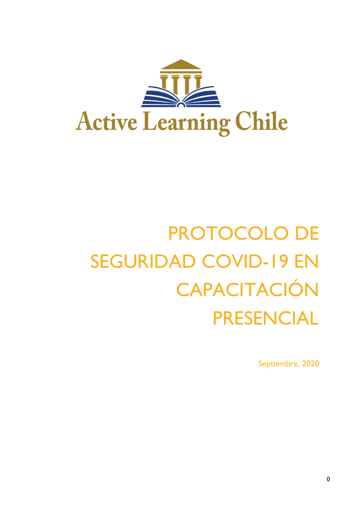

# PROTOCOLO DE SEGURIDAD COVID-19 EN CAPACITACIÓN PRESENCIAL

Septiembre, 2020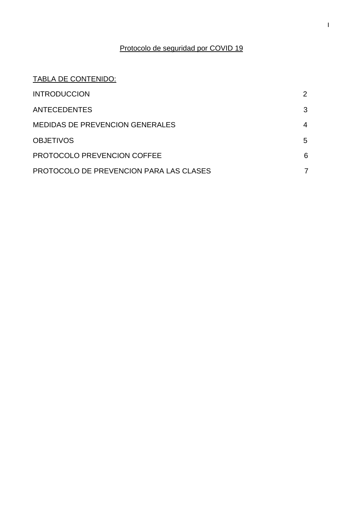# Protocolo de seguridad por COVID 19

# TABLA DE CONTENIDO:

| <b>INTRODUCCION</b>                     | 2 |
|-----------------------------------------|---|
| <b>ANTECEDENTES</b>                     | 3 |
| <b>MEDIDAS DE PREVENCION GENERALES</b>  | 4 |
| <b>OBJETIVOS</b>                        | 5 |
| <b>PROTOCOLO PREVENCION COFFEE</b>      | 6 |
| PROTOCOLO DE PREVENCION PARA LAS CLASES |   |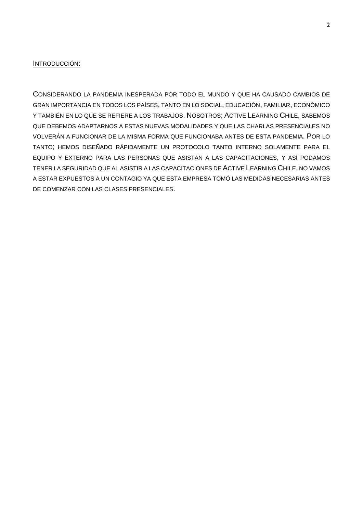### INTRODUCCIÓN:

CONSIDERANDO LA PANDEMIA INESPERADA POR TODO EL MUNDO Y QUE HA CAUSADO CAMBIOS DE GRAN IMPORTANCIA EN TODOS LOS PAÍSES, TANTO EN LO SOCIAL, EDUCACIÓN, FAMILIAR, ECONÓMICO Y TAMBIÉN EN LO QUE SE REFIERE A LOS TRABAJOS. NOSOTROS; ACTIVE LEARNING CHILE, SABEMOS QUE DEBEMOS ADAPTARNOS A ESTAS NUEVAS MODALIDADES Y QUE LAS CHARLAS PRESENCIALES NO VOLVERÁN A FUNCIONAR DE LA MISMA FORMA QUE FUNCIONABA ANTES DE ESTA PANDEMIA. POR LO TANTO; HEMOS DISEÑADO RÁPIDAMENTE UN PROTOCOLO TANTO INTERNO SOLAMENTE PARA EL EQUIPO Y EXTERNO PARA LAS PERSONAS QUE ASISTAN A LAS CAPACITACIONES, Y ASÍ PODAMOS TENER LA SEGURIDAD QUE AL ASISTIR A LAS CAPACITACIONES DE ACTIVE LEARNING CHILE, NO VAMOS A ESTAR EXPUESTOS A UN CONTAGIO YA QUE ESTA EMPRESA TOMÓ LAS MEDIDAS NECESARIAS ANTES DE COMENZAR CON LAS CLASES PRESENCIALES.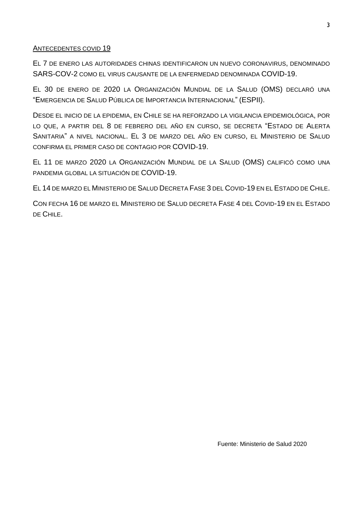# ANTECEDENTES COVID 19

EL 7 DE ENERO LAS AUTORIDADES CHINAS IDENTIFICARON UN NUEVO CORONAVIRUS, DENOMINADO SARS-COV-2 COMO EL VIRUS CAUSANTE DE LA ENFERMEDAD DENOMINADA COVID-19.

EL 30 DE ENERO DE 2020 LA ORGANIZACIÓN MUNDIAL DE LA SALUD (OMS) DECLARÓ UNA "EMERGENCIA DE SALUD PÚBLICA DE IMPORTANCIA INTERNACIONAL" (ESPII).

DESDE EL INICIO DE LA EPIDEMIA, EN CHILE SE HA REFORZADO LA VIGILANCIA EPIDEMIOLÓGICA, POR LO QUE, A PARTIR DEL 8 DE FEBRERO DEL AÑO EN CURSO, SE DECRETA "ESTADO DE ALERTA SANITARIA" A NIVEL NACIONAL. EL 3 DE MARZO DEL AÑO EN CURSO, EL MINISTERIO DE SALUD CONFIRMA EL PRIMER CASO DE CONTAGIO POR COVID-19.

EL 11 DE MARZO 2020 LA ORGANIZACIÓN MUNDIAL DE LA SALUD (OMS) CALIFICÓ COMO UNA PANDEMIA GLOBAL LA SITUACIÓN DE COVID-19.

EL 14 DE MARZO EL MINISTERIO DE SALUD DECRETA FASE 3 DEL COVID-19 EN EL ESTADO DE CHILE.

CON FECHA 16 DE MARZO EL MINISTERIO DE SALUD DECRETA FASE 4 DEL COVID-19 EN EL ESTADO DE CHILE.

Fuente: Ministerio de Salud 2020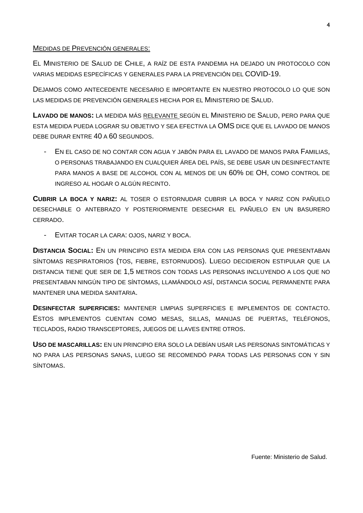## MEDIDAS DE PREVENCIÓN GENERALES:

EL MINISTERIO DE SALUD DE CHILE, A RAÍZ DE ESTA PANDEMIA HA DEJADO UN PROTOCOLO CON VARIAS MEDIDAS ESPECÍFICAS Y GENERALES PARA LA PREVENCIÓN DEL COVID-19.

DEJAMOS COMO ANTECEDENTE NECESARIO E IMPORTANTE EN NUESTRO PROTOCOLO LO QUE SON LAS MEDIDAS DE PREVENCIÓN GENERALES HECHA POR EL MINISTERIO DE SALUD.

**LAVADO DE MANOS:** LA MEDIDA MÁS RELEVANTE SEGÚN EL MINISTERIO DE SALUD, PERO PARA QUE ESTA MEDIDA PUEDA LOGRAR SU OBJETIVO Y SEA EFECTIVA LA OMS DICE QUE EL LAVADO DE MANOS DEBE DURAR ENTRE 40 A 60 SEGUNDOS.

- EN EL CASO DE NO CONTAR CON AGUA Y JABÓN PARA EL LAVADO DE MANOS PARA FAMILIAS, O PERSONAS TRABAJANDO EN CUALQUIER ÁREA DEL PAÍS, SE DEBE USAR UN DESINFECTANTE PARA MANOS A BASE DE ALCOHOL CON AL MENOS DE UN 60% DE OH, COMO CONTROL DE INGRESO AL HOGAR O ALGÚN RECINTO.

**CUBRIR LA BOCA Y NARIZ:** AL TOSER O ESTORNUDAR CUBRIR LA BOCA Y NARIZ CON PAÑUELO DESECHABLE O ANTEBRAZO Y POSTERIORMENTE DESECHAR EL PAÑUELO EN UN BASURERO CERRADO.

EVITAR TOCAR LA CARA: OJOS, NARIZ Y BOCA.

**DISTANCIA SOCIAL:** EN UN PRINCIPIO ESTA MEDIDA ERA CON LAS PERSONAS QUE PRESENTABAN SÍNTOMAS RESPIRATORIOS (TOS, FIEBRE, ESTORNUDOS). LUEGO DECIDIERON ESTIPULAR QUE LA DISTANCIA TIENE QUE SER DE 1,5 METROS CON TODAS LAS PERSONAS INCLUYENDO A LOS QUE NO PRESENTABAN NINGÚN TIPO DE SÍNTOMAS, LLAMÁNDOLO ASÍ, DISTANCIA SOCIAL PERMANENTE PARA MANTENER UNA MEDIDA SANITARIA.

**DESINFECTAR SUPERFICIES:** MANTENER LIMPIAS SUPERFICIES E IMPLEMENTOS DE CONTACTO. ESTOS IMPLEMENTOS CUENTAN COMO MESAS, SILLAS, MANIJAS DE PUERTAS, TELÉFONOS, TECLADOS, RADIO TRANSCEPTORES, JUEGOS DE LLAVES ENTRE OTROS.

**USO DE MASCARILLAS:** EN UN PRINCIPIO ERA SOLO LA DEBÍAN USAR LAS PERSONAS SINTOMÁTICAS Y NO PARA LAS PERSONAS SANAS, LUEGO SE RECOMENDÓ PARA TODAS LAS PERSONAS CON Y SIN SÍNTOMAS.

Fuente: Ministerio de Salud.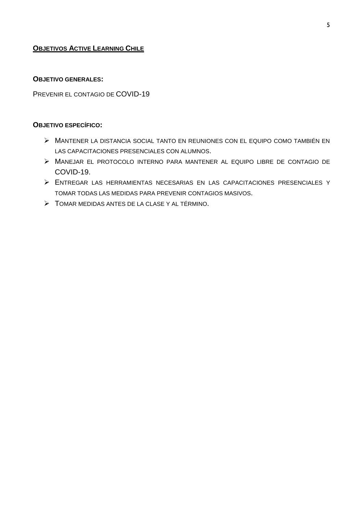# **OBJETIVOS ACTIVE LEARNING CHILE**

# **OBJETIVO GENERALES:**

PREVENIR EL CONTAGIO DE COVID-19

#### **OBJETIVO ESPECÍFICO:**

- MANTENER LA DISTANCIA SOCIAL TANTO EN REUNIONES CON EL EQUIPO COMO TAMBIÉN EN LAS CAPACITACIONES PRESENCIALES CON ALUMNOS.
- MANEJAR EL PROTOCOLO INTERNO PARA MANTENER AL EQUIPO LIBRE DE CONTAGIO DE COVID-19.
- ENTREGAR LAS HERRAMIENTAS NECESARIAS EN LAS CAPACITACIONES PRESENCIALES Y TOMAR TODAS LAS MEDIDAS PARA PREVENIR CONTAGIOS MASIVOS.
- TOMAR MEDIDAS ANTES DE LA CLASE Y AL TÉRMINO.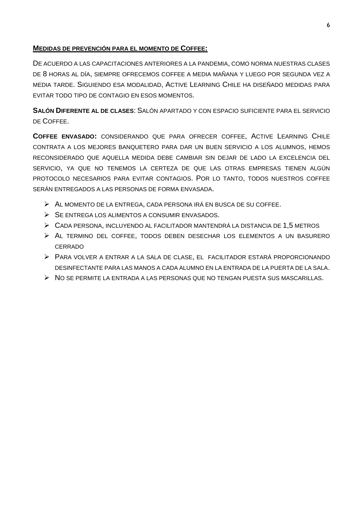# **MEDIDAS DE PREVENCIÓN PARA EL MOMENTO DE COFFEE:**

DE ACUERDO A LAS CAPACITACIONES ANTERIORES A LA PANDEMIA, COMO NORMA NUESTRAS CLASES DE 8 HORAS AL DÍA, SIEMPRE OFRECEMOS COFFEE A MEDIA MAÑANA Y LUEGO POR SEGUNDA VEZ A MEDIA TARDE. SIGUIENDO ESA MODALIDAD, ACTIVE LEARNING CHILE HA DISEÑADO MEDIDAS PARA EVITAR TODO TIPO DE CONTAGIO EN ESOS MOMENTOS.

**SALÓN DIFERENTE AL DE CLASES**: SALÓN APARTADO Y CON ESPACIO SUFICIENTE PARA EL SERVICIO DE COFFEE.

**COFFEE ENVASADO:** CONSIDERANDO QUE PARA OFRECER COFFEE, ACTIVE LEARNING CHILE CONTRATA A LOS MEJORES BANQUETERO PARA DAR UN BUEN SERVICIO A LOS ALUMNOS, HEMOS RECONSIDERADO QUE AQUELLA MEDIDA DEBE CAMBIAR SIN DEJAR DE LADO LA EXCELENCIA DEL SERVICIO, YA QUE NO TENEMOS LA CERTEZA DE QUE LAS OTRAS EMPRESAS TIENEN ALGÚN PROTOCOLO NECESARIOS PARA EVITAR CONTAGIOS. POR LO TANTO, TODOS NUESTROS COFFEE SERÁN ENTREGADOS A LAS PERSONAS DE FORMA ENVASADA.

- AL MOMENTO DE LA ENTREGA, CADA PERSONA IRÁ EN BUSCA DE SU COFFEE.
- $\triangleright$  SE ENTREGA LOS ALIMENTOS A CONSUMIR ENVASADOS.
- CADA PERSONA, INCLUYENDO AL FACILITADOR MANTENDRÁ LA DISTANCIA DE 1,5 METROS
- AL TERMINO DEL COFFEE, TODOS DEBEN DESECHAR LOS ELEMENTOS A UN BASURERO CERRADO
- PARA VOLVER A ENTRAR A LA SALA DE CLASE, EL FACILITADOR ESTARÁ PROPORCIONANDO DESINFECTANTE PARA LAS MANOS A CADA ALUMNO EN LA ENTRADA DE LA PUERTA DE LA SALA.
- $\triangleright$  NO SE PERMITE LA ENTRADA A LAS PERSONAS QUE NO TENGAN PUESTA SUS MASCARILLAS.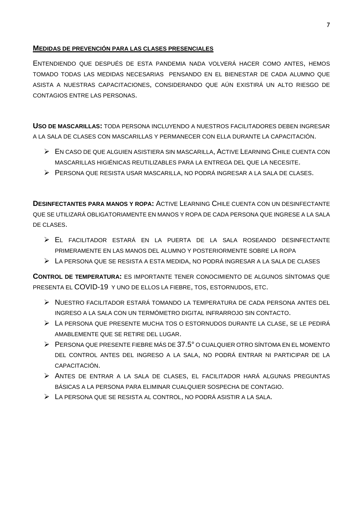#### **MEDIDAS DE PREVENCIÓN PARA LAS CLASES PRESENCIALES**

ENTENDIENDO QUE DESPUÉS DE ESTA PANDEMIA NADA VOLVERÁ HACER COMO ANTES, HEMOS TOMADO TODAS LAS MEDIDAS NECESARIAS PENSANDO EN EL BIENESTAR DE CADA ALUMNO QUE ASISTA A NUESTRAS CAPACITACIONES, CONSIDERANDO QUE AÚN EXISTIRÁ UN ALTO RIESGO DE CONTAGIOS ENTRE LAS PERSONAS.

**USO DE MASCARILLAS:** TODA PERSONA INCLUYENDO A NUESTROS FACILITADORES DEBEN INGRESAR A LA SALA DE CLASES CON MASCARILLAS Y PERMANECER CON ELLA DURANTE LA CAPACITACIÓN.

- EN CASO DE QUE ALGUIEN ASISTIERA SIN MASCARILLA, ACTIVE LEARNING CHILE CUENTA CON MASCARILLAS HIGIÉNICAS REUTILIZABLES PARA LA ENTREGA DEL QUE LA NECESITE.
- PERSONA QUE RESISTA USAR MASCARILLA, NO PODRÁ INGRESAR A LA SALA DE CLASES.

**DESINFECTANTES PARA MANOS Y ROPA:** ACTIVE LEARNING CHILE CUENTA CON UN DESINFECTANTE QUE SE UTILIZARÁ OBLIGATORIAMENTE EN MANOS Y ROPA DE CADA PERSONA QUE INGRESE A LA SALA DE CLASES.

- EL FACILITADOR ESTARÁ EN LA PUERTA DE LA SALA ROSEANDO DESINFECTANTE PRIMERAMENTE EN LAS MANOS DEL ALUMNO Y POSTERIORMENTE SOBRE LA ROPA
- LA PERSONA QUE SE RESISTA A ESTA MEDIDA, NO PODRÁ INGRESAR A LA SALA DE CLASES

**CONTROL DE TEMPERATURA:** ES IMPORTANTE TENER CONOCIMIENTO DE ALGUNOS SÍNTOMAS QUE PRESENTA EL COVID-19 Y UNO DE ELLOS LA FIEBRE, TOS, ESTORNUDOS, ETC.

- NUESTRO FACILITADOR ESTARÁ TOMANDO LA TEMPERATURA DE CADA PERSONA ANTES DEL INGRESO A LA SALA CON UN TERMÓMETRO DIGITAL INFRARROJO SIN CONTACTO.
- LA PERSONA QUE PRESENTE MUCHA TOS O ESTORNUDOS DURANTE LA CLASE, SE LE PEDIRÁ AMABLEMENTE QUE SE RETIRE DEL LUGAR.
- PERSONA QUE PRESENTE FIEBRE MÁS DE 37.5° O CUALQUIER OTRO SÍNTOMA EN EL MOMENTO DEL CONTROL ANTES DEL INGRESO A LA SALA, NO PODRÁ ENTRAR NI PARTICIPAR DE LA CAPACITACIÓN.
- ANTES DE ENTRAR A LA SALA DE CLASES, EL FACILITADOR HARÁ ALGUNAS PREGUNTAS BÁSICAS A LA PERSONA PARA ELIMINAR CUALQUIER SOSPECHA DE CONTAGIO.
- LA PERSONA QUE SE RESISTA AL CONTROL, NO PODRÁ ASISTIR A LA SALA.